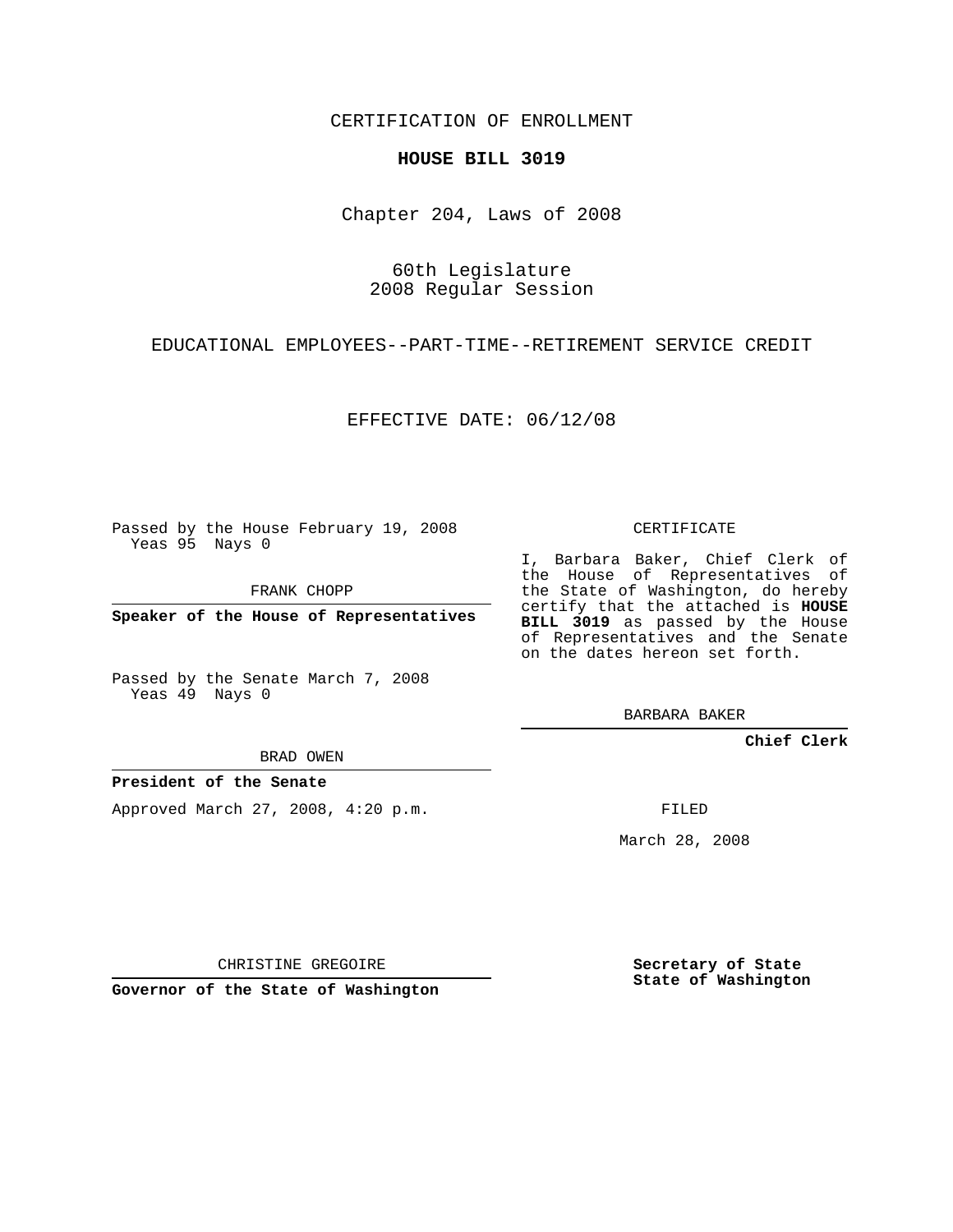CERTIFICATION OF ENROLLMENT

## **HOUSE BILL 3019**

Chapter 204, Laws of 2008

60th Legislature 2008 Regular Session

EDUCATIONAL EMPLOYEES--PART-TIME--RETIREMENT SERVICE CREDIT

EFFECTIVE DATE: 06/12/08

Passed by the House February 19, 2008 Yeas 95 Nays 0

FRANK CHOPP

**Speaker of the House of Representatives**

Passed by the Senate March 7, 2008 Yeas 49 Nays 0

BRAD OWEN

## **President of the Senate**

Approved March 27, 2008, 4:20 p.m.

CERTIFICATE

I, Barbara Baker, Chief Clerk of the House of Representatives of the State of Washington, do hereby certify that the attached is **HOUSE BILL 3019** as passed by the House of Representatives and the Senate on the dates hereon set forth.

BARBARA BAKER

**Chief Clerk**

FILED

March 28, 2008

CHRISTINE GREGOIRE

**Governor of the State of Washington**

**Secretary of State State of Washington**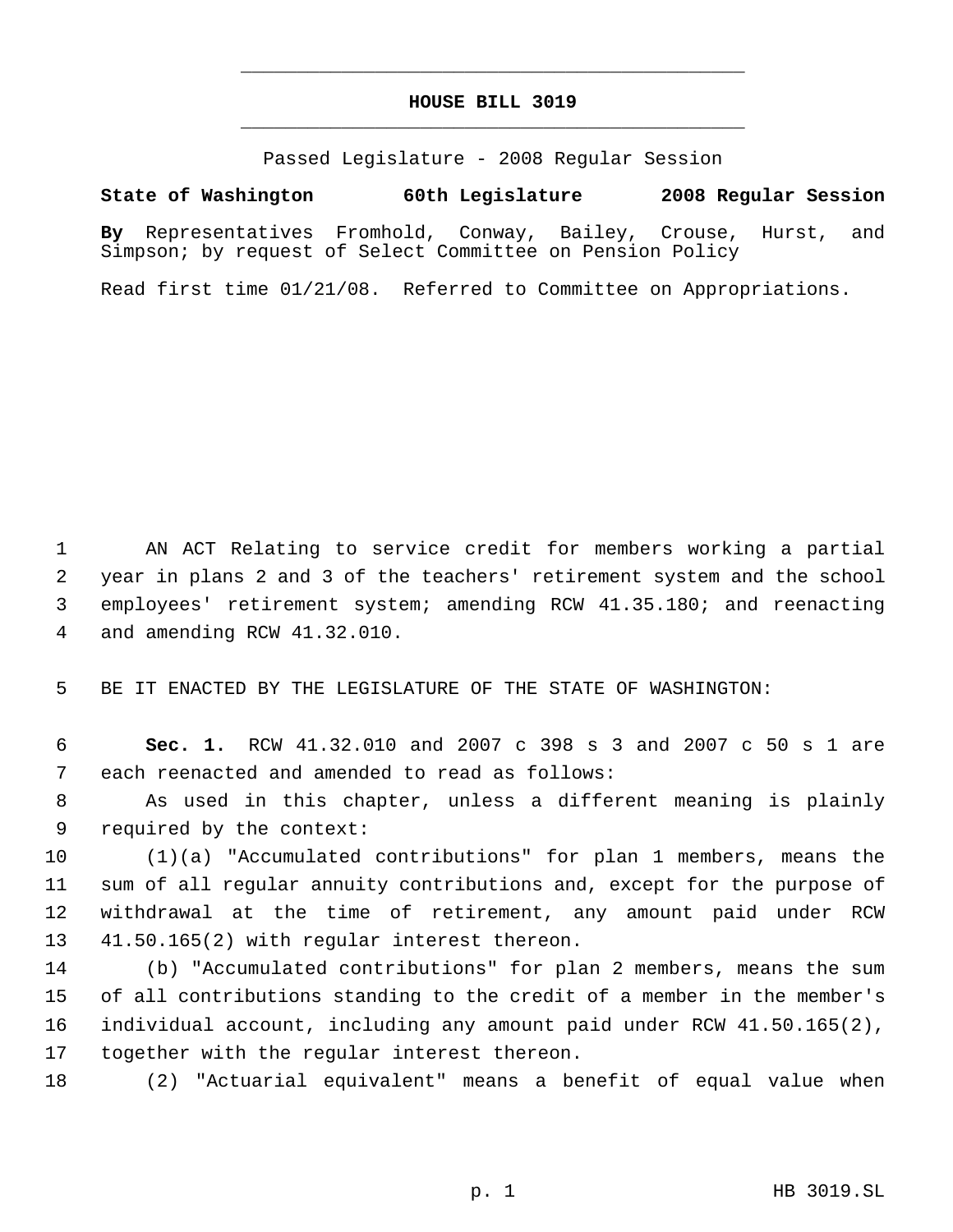## **HOUSE BILL 3019** \_\_\_\_\_\_\_\_\_\_\_\_\_\_\_\_\_\_\_\_\_\_\_\_\_\_\_\_\_\_\_\_\_\_\_\_\_\_\_\_\_\_\_\_\_

\_\_\_\_\_\_\_\_\_\_\_\_\_\_\_\_\_\_\_\_\_\_\_\_\_\_\_\_\_\_\_\_\_\_\_\_\_\_\_\_\_\_\_\_\_

Passed Legislature - 2008 Regular Session

## **State of Washington 60th Legislature 2008 Regular Session**

**By** Representatives Fromhold, Conway, Bailey, Crouse, Hurst, and Simpson; by request of Select Committee on Pension Policy

Read first time 01/21/08. Referred to Committee on Appropriations.

 AN ACT Relating to service credit for members working a partial year in plans 2 and 3 of the teachers' retirement system and the school employees' retirement system; amending RCW 41.35.180; and reenacting and amending RCW 41.32.010.

BE IT ENACTED BY THE LEGISLATURE OF THE STATE OF WASHINGTON:

 **Sec. 1.** RCW 41.32.010 and 2007 c 398 s 3 and 2007 c 50 s 1 are each reenacted and amended to read as follows:

 As used in this chapter, unless a different meaning is plainly required by the context:

 (1)(a) "Accumulated contributions" for plan 1 members, means the sum of all regular annuity contributions and, except for the purpose of withdrawal at the time of retirement, any amount paid under RCW 41.50.165(2) with regular interest thereon.

 (b) "Accumulated contributions" for plan 2 members, means the sum of all contributions standing to the credit of a member in the member's individual account, including any amount paid under RCW 41.50.165(2), together with the regular interest thereon.

(2) "Actuarial equivalent" means a benefit of equal value when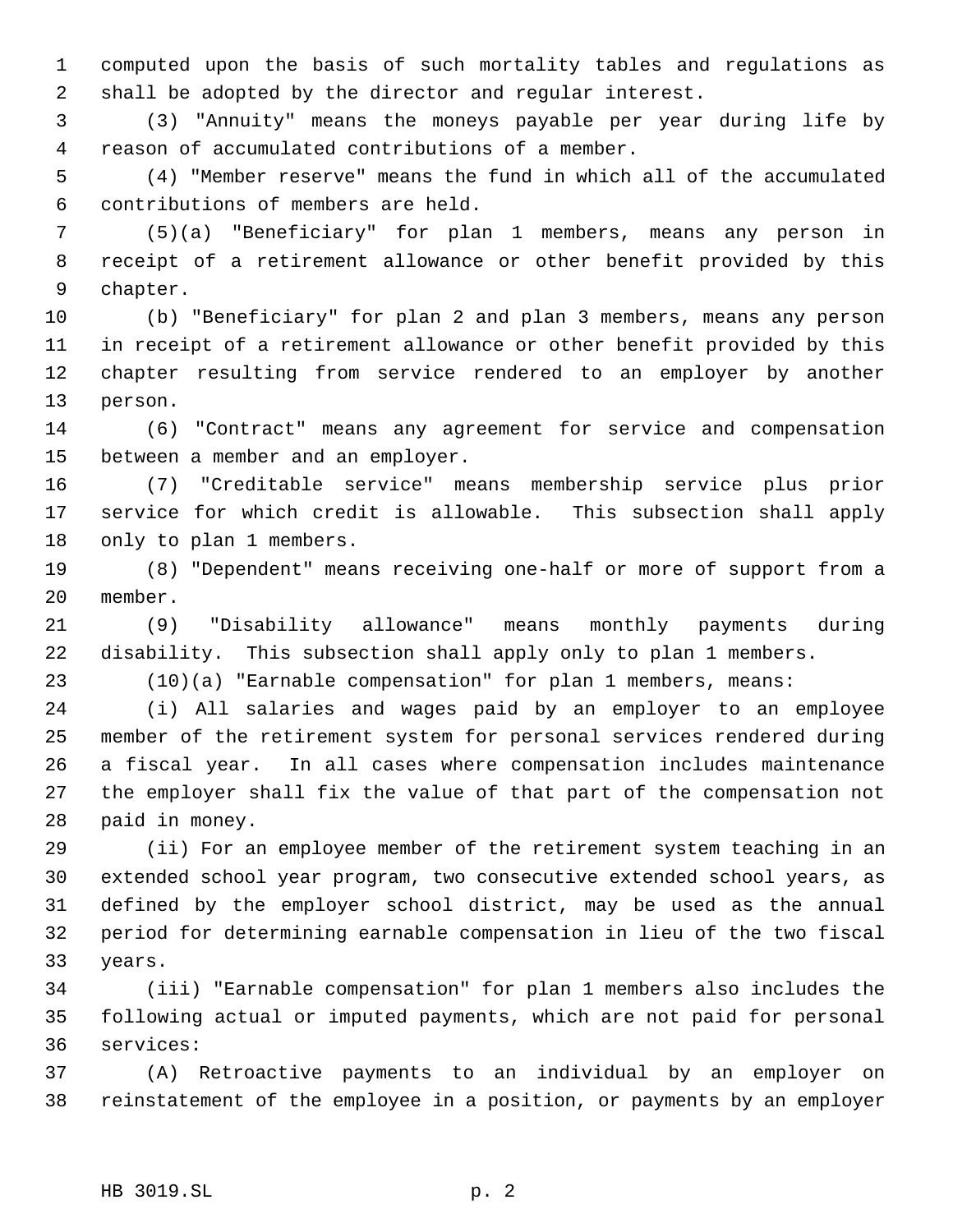computed upon the basis of such mortality tables and regulations as shall be adopted by the director and regular interest.

 (3) "Annuity" means the moneys payable per year during life by reason of accumulated contributions of a member.

 (4) "Member reserve" means the fund in which all of the accumulated contributions of members are held.

 (5)(a) "Beneficiary" for plan 1 members, means any person in receipt of a retirement allowance or other benefit provided by this chapter.

 (b) "Beneficiary" for plan 2 and plan 3 members, means any person in receipt of a retirement allowance or other benefit provided by this chapter resulting from service rendered to an employer by another person.

 (6) "Contract" means any agreement for service and compensation between a member and an employer.

 (7) "Creditable service" means membership service plus prior service for which credit is allowable. This subsection shall apply only to plan 1 members.

 (8) "Dependent" means receiving one-half or more of support from a member.

 (9) "Disability allowance" means monthly payments during disability. This subsection shall apply only to plan 1 members.

(10)(a) "Earnable compensation" for plan 1 members, means:

 (i) All salaries and wages paid by an employer to an employee member of the retirement system for personal services rendered during a fiscal year. In all cases where compensation includes maintenance the employer shall fix the value of that part of the compensation not paid in money.

 (ii) For an employee member of the retirement system teaching in an extended school year program, two consecutive extended school years, as defined by the employer school district, may be used as the annual period for determining earnable compensation in lieu of the two fiscal years.

 (iii) "Earnable compensation" for plan 1 members also includes the following actual or imputed payments, which are not paid for personal services:

 (A) Retroactive payments to an individual by an employer on reinstatement of the employee in a position, or payments by an employer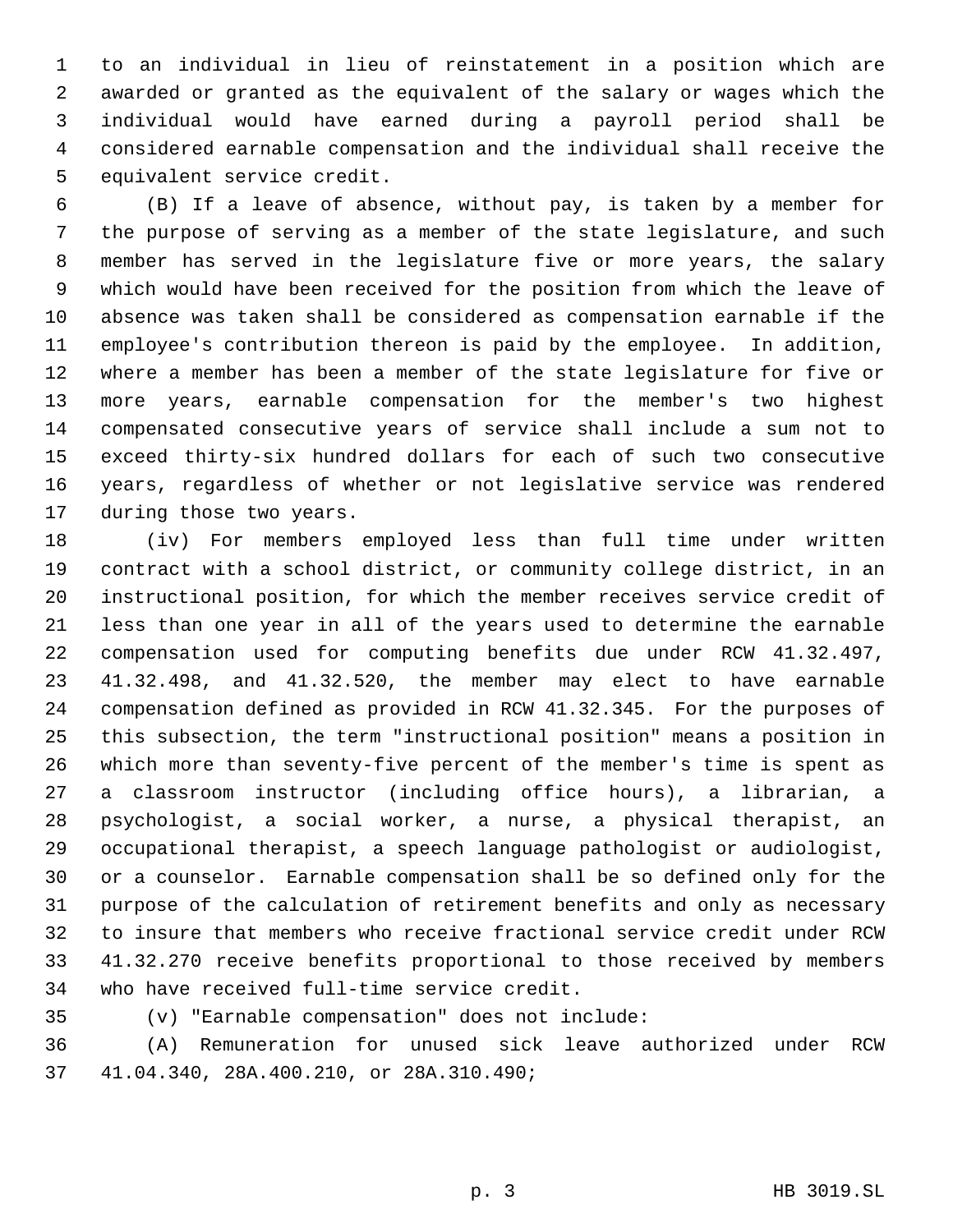to an individual in lieu of reinstatement in a position which are awarded or granted as the equivalent of the salary or wages which the individual would have earned during a payroll period shall be considered earnable compensation and the individual shall receive the equivalent service credit.

 (B) If a leave of absence, without pay, is taken by a member for the purpose of serving as a member of the state legislature, and such member has served in the legislature five or more years, the salary which would have been received for the position from which the leave of absence was taken shall be considered as compensation earnable if the employee's contribution thereon is paid by the employee. In addition, where a member has been a member of the state legislature for five or more years, earnable compensation for the member's two highest compensated consecutive years of service shall include a sum not to exceed thirty-six hundred dollars for each of such two consecutive years, regardless of whether or not legislative service was rendered during those two years.

 (iv) For members employed less than full time under written contract with a school district, or community college district, in an instructional position, for which the member receives service credit of less than one year in all of the years used to determine the earnable compensation used for computing benefits due under RCW 41.32.497, 41.32.498, and 41.32.520, the member may elect to have earnable compensation defined as provided in RCW 41.32.345. For the purposes of this subsection, the term "instructional position" means a position in which more than seventy-five percent of the member's time is spent as a classroom instructor (including office hours), a librarian, a psychologist, a social worker, a nurse, a physical therapist, an occupational therapist, a speech language pathologist or audiologist, or a counselor. Earnable compensation shall be so defined only for the purpose of the calculation of retirement benefits and only as necessary to insure that members who receive fractional service credit under RCW 41.32.270 receive benefits proportional to those received by members who have received full-time service credit.

(v) "Earnable compensation" does not include:

 (A) Remuneration for unused sick leave authorized under RCW 41.04.340, 28A.400.210, or 28A.310.490;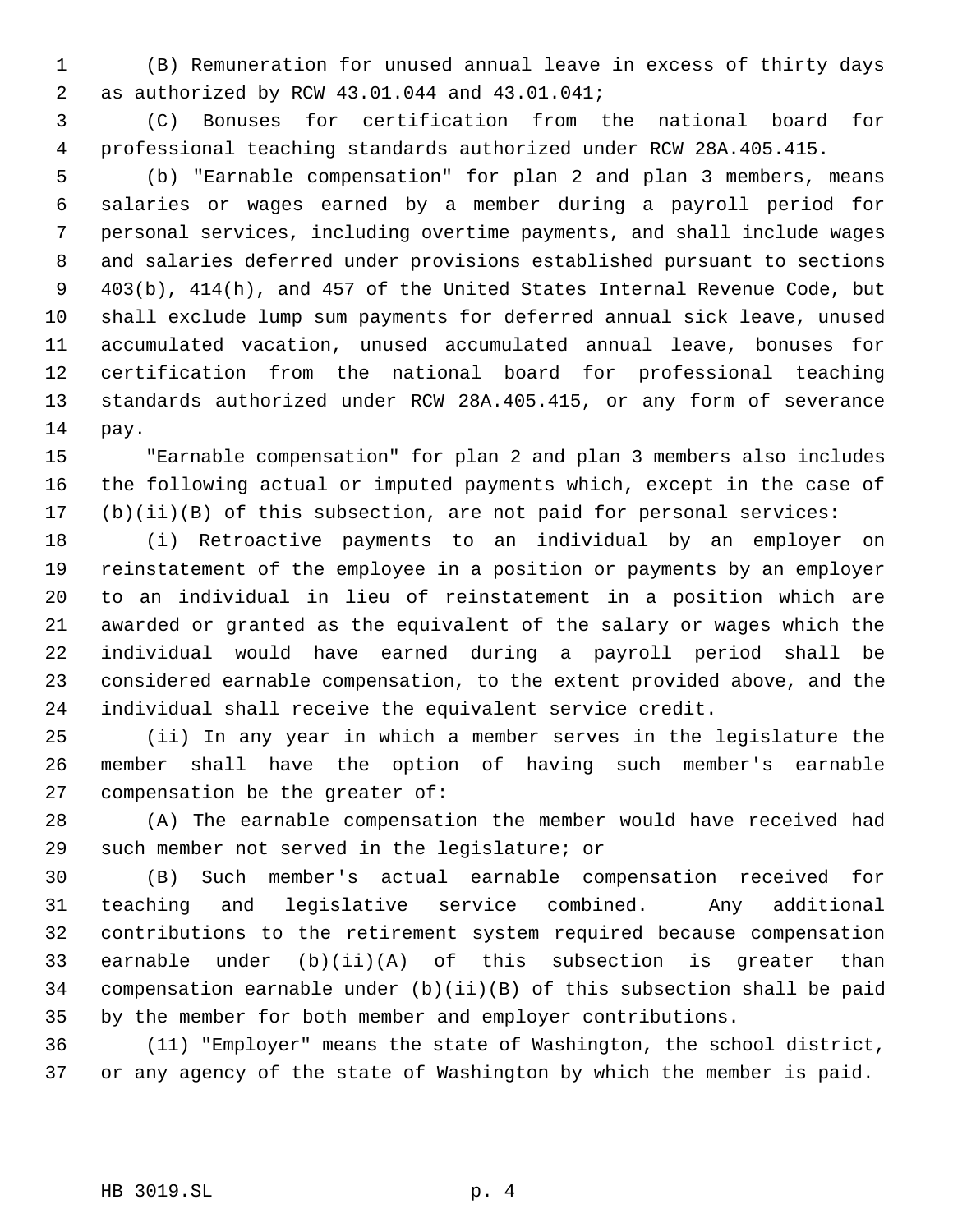(B) Remuneration for unused annual leave in excess of thirty days as authorized by RCW 43.01.044 and 43.01.041;

 (C) Bonuses for certification from the national board for professional teaching standards authorized under RCW 28A.405.415.

 (b) "Earnable compensation" for plan 2 and plan 3 members, means salaries or wages earned by a member during a payroll period for personal services, including overtime payments, and shall include wages and salaries deferred under provisions established pursuant to sections 403(b), 414(h), and 457 of the United States Internal Revenue Code, but shall exclude lump sum payments for deferred annual sick leave, unused accumulated vacation, unused accumulated annual leave, bonuses for certification from the national board for professional teaching standards authorized under RCW 28A.405.415, or any form of severance pay.

 "Earnable compensation" for plan 2 and plan 3 members also includes the following actual or imputed payments which, except in the case of (b)(ii)(B) of this subsection, are not paid for personal services:

 (i) Retroactive payments to an individual by an employer on reinstatement of the employee in a position or payments by an employer to an individual in lieu of reinstatement in a position which are awarded or granted as the equivalent of the salary or wages which the individual would have earned during a payroll period shall be considered earnable compensation, to the extent provided above, and the individual shall receive the equivalent service credit.

 (ii) In any year in which a member serves in the legislature the member shall have the option of having such member's earnable compensation be the greater of:

 (A) The earnable compensation the member would have received had such member not served in the legislature; or

 (B) Such member's actual earnable compensation received for teaching and legislative service combined. Any additional contributions to the retirement system required because compensation earnable under (b)(ii)(A) of this subsection is greater than compensation earnable under (b)(ii)(B) of this subsection shall be paid by the member for both member and employer contributions.

 (11) "Employer" means the state of Washington, the school district, or any agency of the state of Washington by which the member is paid.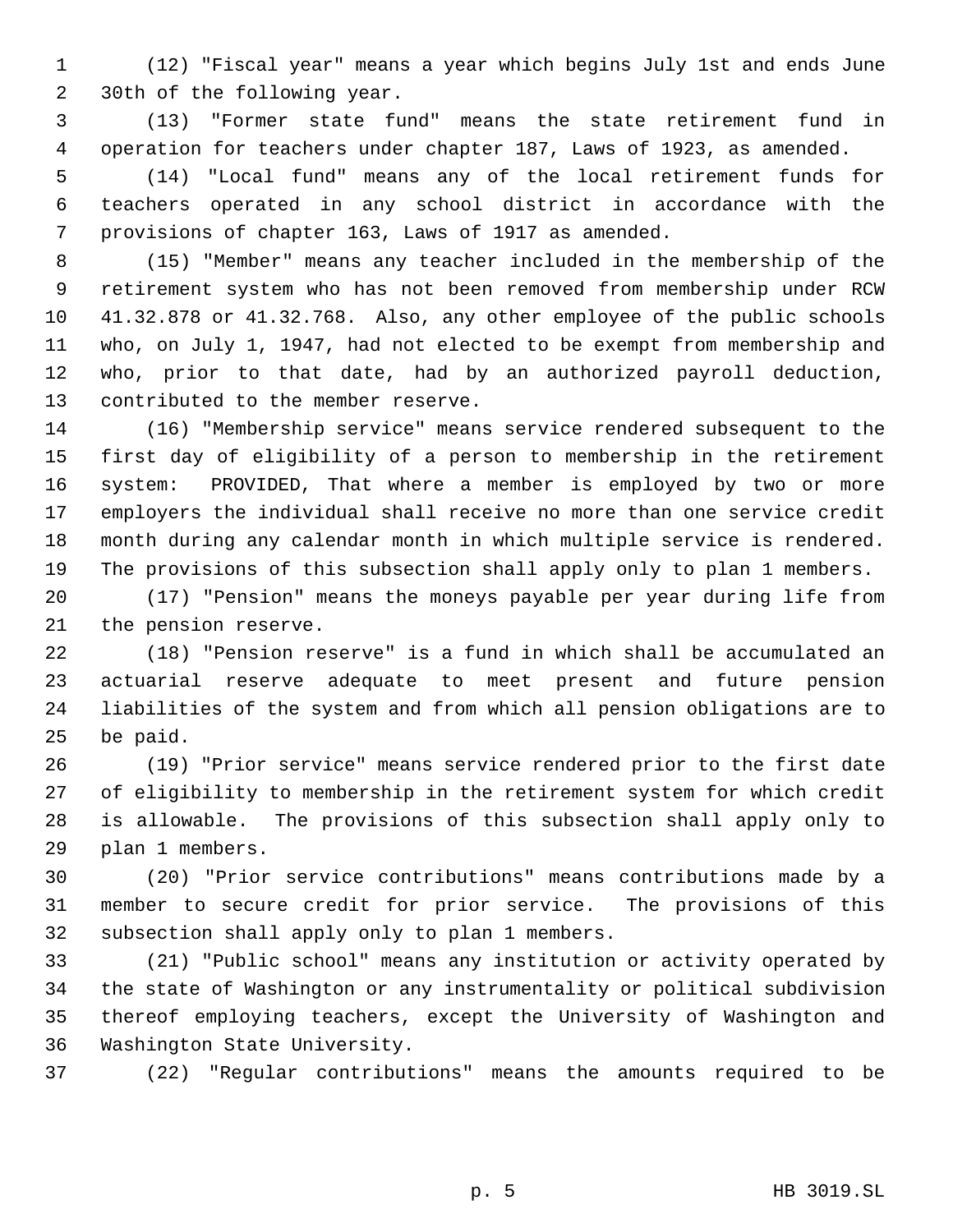(12) "Fiscal year" means a year which begins July 1st and ends June 30th of the following year.

 (13) "Former state fund" means the state retirement fund in operation for teachers under chapter 187, Laws of 1923, as amended.

 (14) "Local fund" means any of the local retirement funds for teachers operated in any school district in accordance with the provisions of chapter 163, Laws of 1917 as amended.

 (15) "Member" means any teacher included in the membership of the retirement system who has not been removed from membership under RCW 41.32.878 or 41.32.768. Also, any other employee of the public schools who, on July 1, 1947, had not elected to be exempt from membership and who, prior to that date, had by an authorized payroll deduction, contributed to the member reserve.

 (16) "Membership service" means service rendered subsequent to the first day of eligibility of a person to membership in the retirement system: PROVIDED, That where a member is employed by two or more employers the individual shall receive no more than one service credit month during any calendar month in which multiple service is rendered. The provisions of this subsection shall apply only to plan 1 members.

 (17) "Pension" means the moneys payable per year during life from the pension reserve.

 (18) "Pension reserve" is a fund in which shall be accumulated an actuarial reserve adequate to meet present and future pension liabilities of the system and from which all pension obligations are to be paid.

 (19) "Prior service" means service rendered prior to the first date of eligibility to membership in the retirement system for which credit is allowable. The provisions of this subsection shall apply only to plan 1 members.

 (20) "Prior service contributions" means contributions made by a member to secure credit for prior service. The provisions of this subsection shall apply only to plan 1 members.

 (21) "Public school" means any institution or activity operated by the state of Washington or any instrumentality or political subdivision thereof employing teachers, except the University of Washington and Washington State University.

(22) "Regular contributions" means the amounts required to be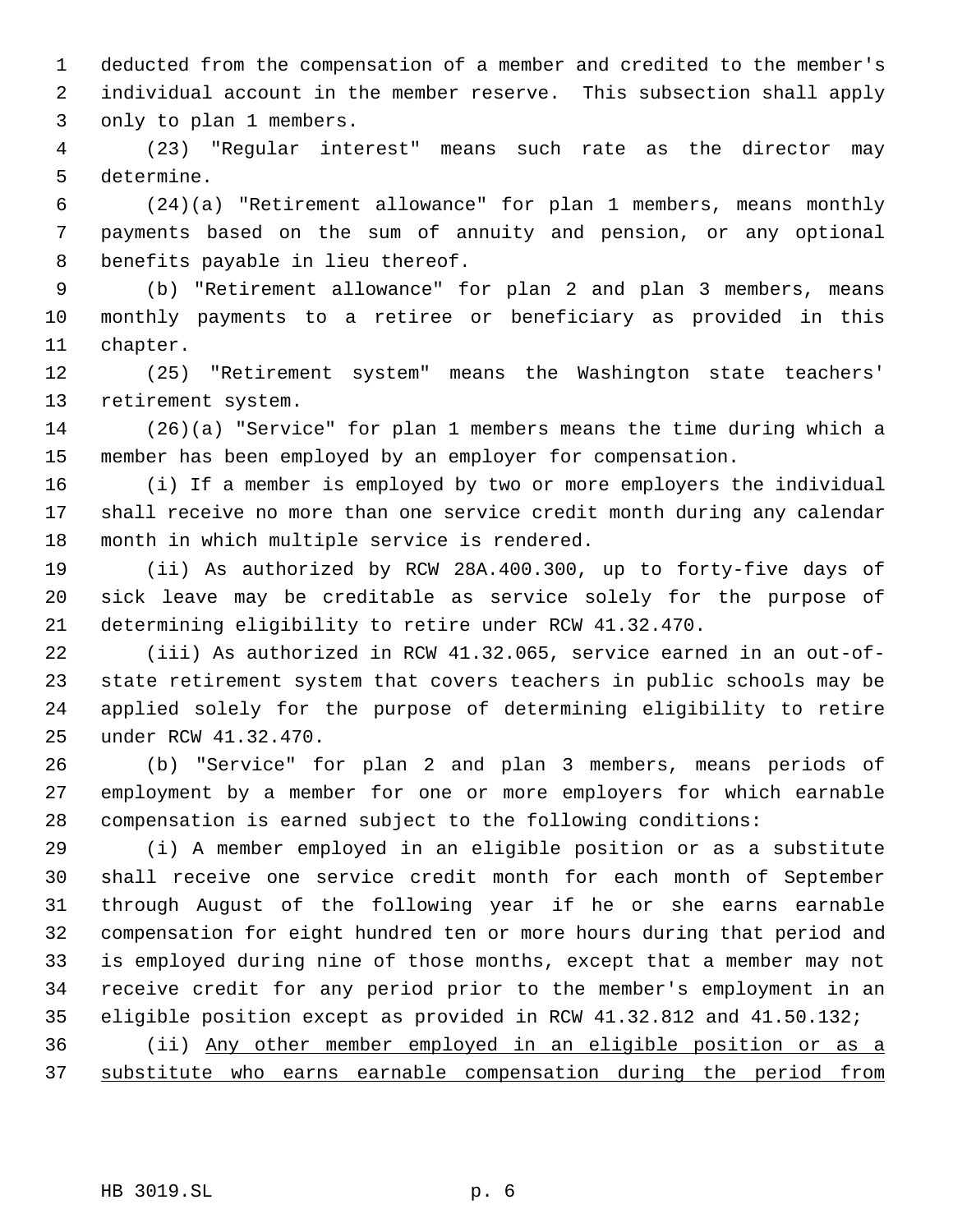deducted from the compensation of a member and credited to the member's individual account in the member reserve. This subsection shall apply only to plan 1 members.

 (23) "Regular interest" means such rate as the director may determine.

 (24)(a) "Retirement allowance" for plan 1 members, means monthly payments based on the sum of annuity and pension, or any optional benefits payable in lieu thereof.

 (b) "Retirement allowance" for plan 2 and plan 3 members, means monthly payments to a retiree or beneficiary as provided in this chapter.

 (25) "Retirement system" means the Washington state teachers' retirement system.

 (26)(a) "Service" for plan 1 members means the time during which a member has been employed by an employer for compensation.

 (i) If a member is employed by two or more employers the individual shall receive no more than one service credit month during any calendar month in which multiple service is rendered.

 (ii) As authorized by RCW 28A.400.300, up to forty-five days of sick leave may be creditable as service solely for the purpose of determining eligibility to retire under RCW 41.32.470.

 (iii) As authorized in RCW 41.32.065, service earned in an out-of- state retirement system that covers teachers in public schools may be applied solely for the purpose of determining eligibility to retire under RCW 41.32.470.

 (b) "Service" for plan 2 and plan 3 members, means periods of employment by a member for one or more employers for which earnable compensation is earned subject to the following conditions:

 (i) A member employed in an eligible position or as a substitute shall receive one service credit month for each month of September through August of the following year if he or she earns earnable compensation for eight hundred ten or more hours during that period and is employed during nine of those months, except that a member may not receive credit for any period prior to the member's employment in an eligible position except as provided in RCW 41.32.812 and 41.50.132;

 (ii) Any other member employed in an eligible position or as a substitute who earns earnable compensation during the period from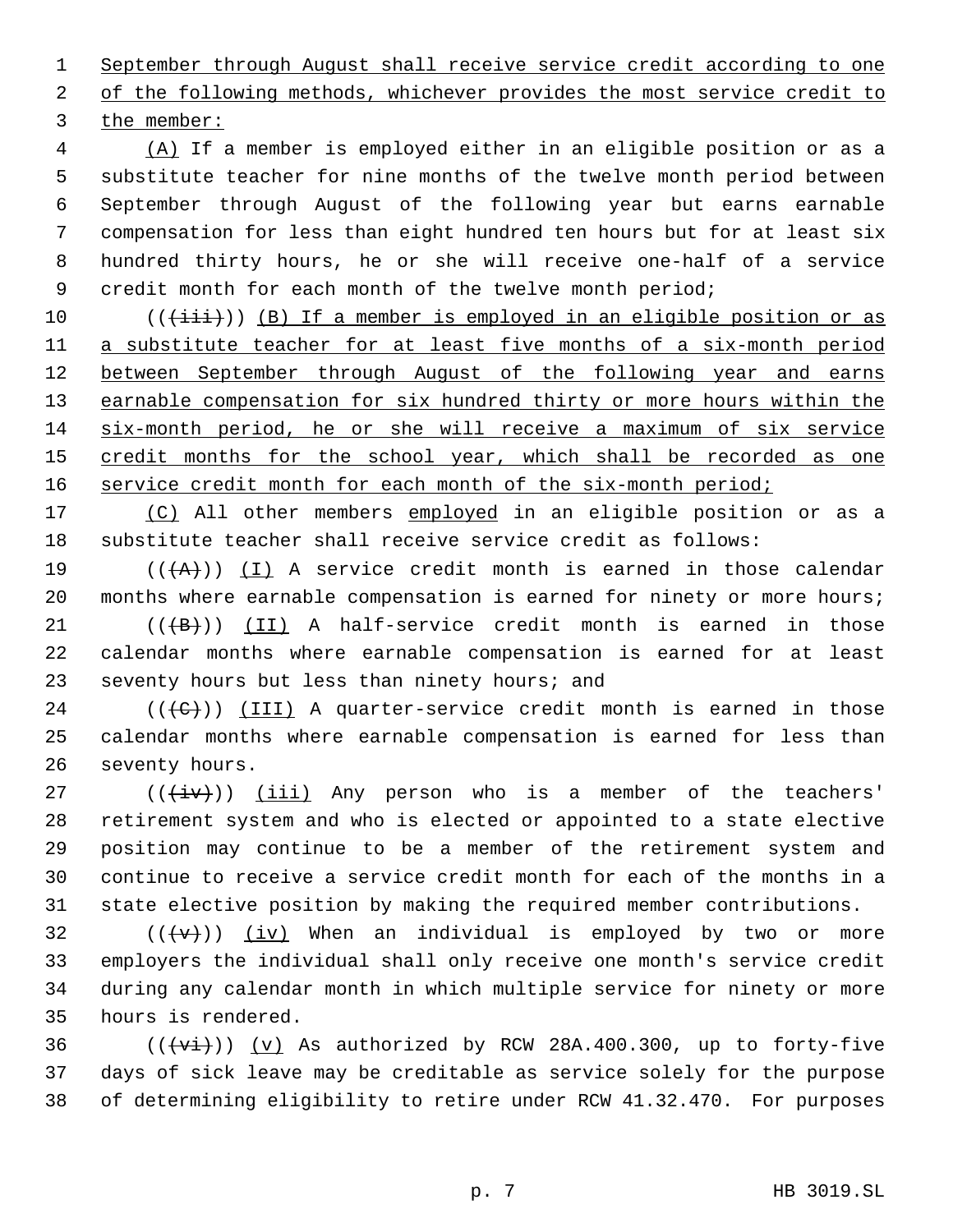September through August shall receive service credit according to one 2 of the following methods, whichever provides the most service credit to the member:

 (A) If a member is employed either in an eligible position or as a substitute teacher for nine months of the twelve month period between September through August of the following year but earns earnable compensation for less than eight hundred ten hours but for at least six hundred thirty hours, he or she will receive one-half of a service 9 credit month for each month of the twelve month period;

10 (( $(i+ii+))$  (B) If a member is employed in an eligible position or as a substitute teacher for at least five months of a six-month period 12 between September through August of the following year and earns 13 earnable compensation for six hundred thirty or more hours within the six-month period, he or she will receive a maximum of six service 15 credit months for the school year, which shall be recorded as one 16 service credit month for each month of the six-month period;

17 (C) All other members employed in an eligible position or as a substitute teacher shall receive service credit as follows:

19 ( $(\overrightarrow{A})$ ) (I) A service credit month is earned in those calendar 20 months where earnable compensation is earned for ninety or more hours;

 $(1 + B)$ ) (II) A half-service credit month is earned in those calendar months where earnable compensation is earned for at least seventy hours but less than ninety hours; and

 (( $(\leftarrow\leftarrow)$ )) (III) A quarter-service credit month is earned in those calendar months where earnable compensation is earned for less than seventy hours.

 $((\overleftrightarrow{iv}))$  (iii) Any person who is a member of the teachers' retirement system and who is elected or appointed to a state elective position may continue to be a member of the retirement system and continue to receive a service credit month for each of the months in a state elective position by making the required member contributions.

 $((\langle v\rangle))$  (iv) When an individual is employed by two or more employers the individual shall only receive one month's service credit during any calendar month in which multiple service for ninety or more hours is rendered.

36  $((\overline{\forall i}))(v)$  As authorized by RCW 28A.400.300, up to forty-five days of sick leave may be creditable as service solely for the purpose of determining eligibility to retire under RCW 41.32.470. For purposes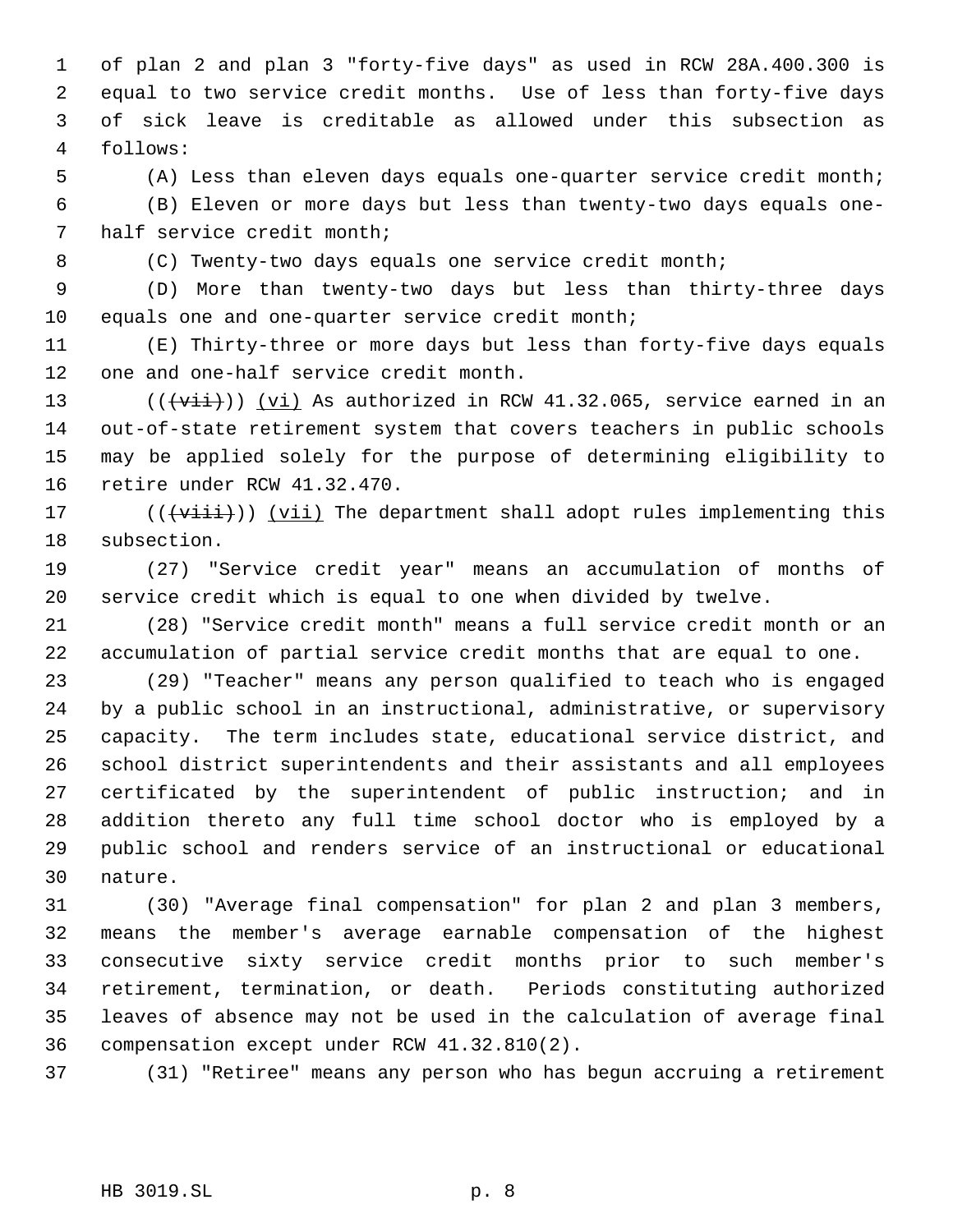of plan 2 and plan 3 "forty-five days" as used in RCW 28A.400.300 is equal to two service credit months. Use of less than forty-five days of sick leave is creditable as allowed under this subsection as follows:

(A) Less than eleven days equals one-quarter service credit month;

 (B) Eleven or more days but less than twenty-two days equals one- half service credit month;

(C) Twenty-two days equals one service credit month;

 (D) More than twenty-two days but less than thirty-three days equals one and one-quarter service credit month;

 (E) Thirty-three or more days but less than forty-five days equals one and one-half service credit month.

13 ( $(\overrightarrow{vii})$ ) (vi) As authorized in RCW 41.32.065, service earned in an out-of-state retirement system that covers teachers in public schools may be applied solely for the purpose of determining eligibility to retire under RCW 41.32.470.

17 ((( $\overrightarrow{viii})$ ) (vii) The department shall adopt rules implementing this subsection.

 (27) "Service credit year" means an accumulation of months of service credit which is equal to one when divided by twelve.

 (28) "Service credit month" means a full service credit month or an accumulation of partial service credit months that are equal to one.

 (29) "Teacher" means any person qualified to teach who is engaged by a public school in an instructional, administrative, or supervisory capacity. The term includes state, educational service district, and school district superintendents and their assistants and all employees certificated by the superintendent of public instruction; and in addition thereto any full time school doctor who is employed by a public school and renders service of an instructional or educational nature.

 (30) "Average final compensation" for plan 2 and plan 3 members, means the member's average earnable compensation of the highest consecutive sixty service credit months prior to such member's retirement, termination, or death. Periods constituting authorized leaves of absence may not be used in the calculation of average final compensation except under RCW 41.32.810(2).

(31) "Retiree" means any person who has begun accruing a retirement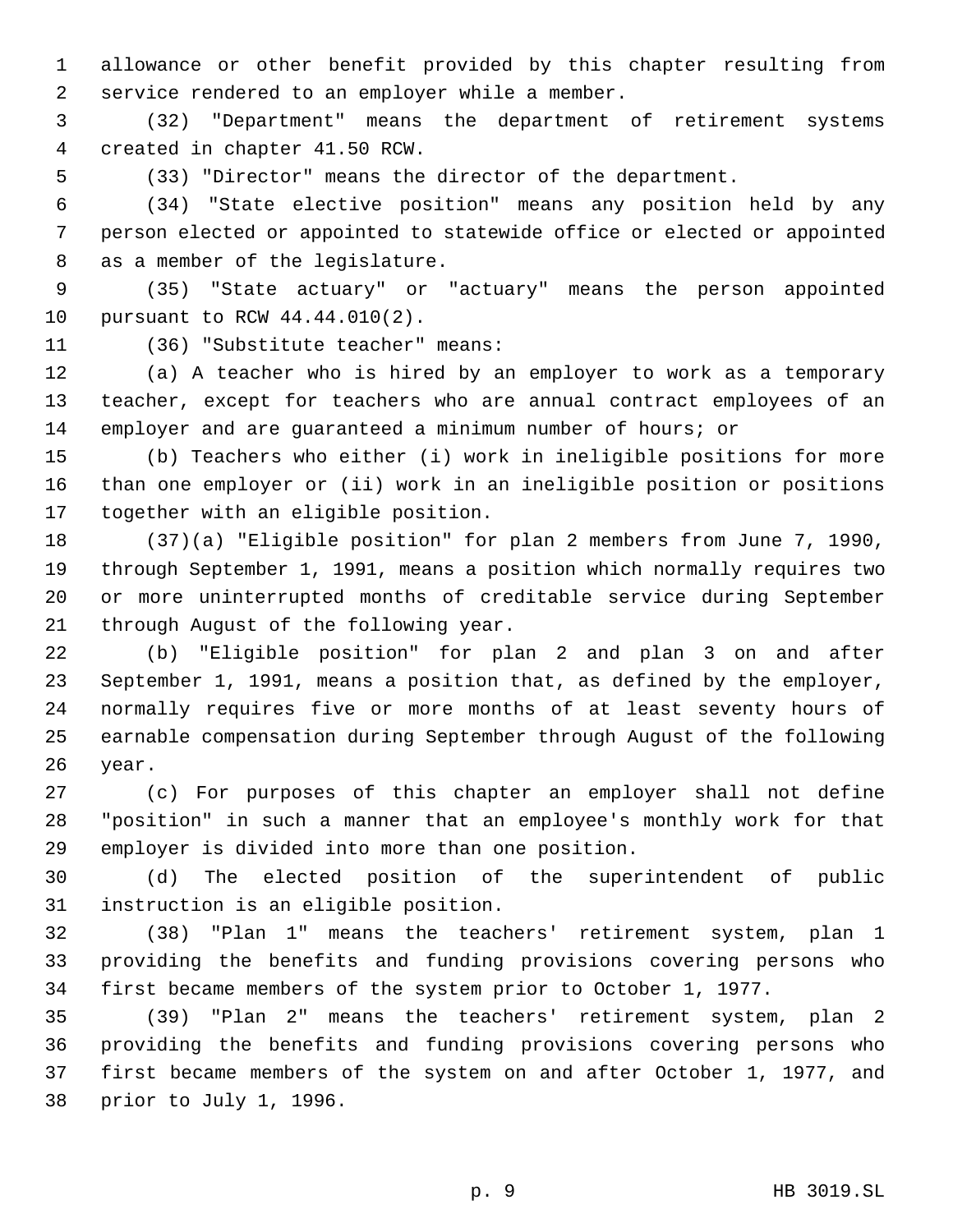allowance or other benefit provided by this chapter resulting from service rendered to an employer while a member.

 (32) "Department" means the department of retirement systems created in chapter 41.50 RCW.

(33) "Director" means the director of the department.

 (34) "State elective position" means any position held by any person elected or appointed to statewide office or elected or appointed as a member of the legislature.

 (35) "State actuary" or "actuary" means the person appointed pursuant to RCW 44.44.010(2).

(36) "Substitute teacher" means:

 (a) A teacher who is hired by an employer to work as a temporary teacher, except for teachers who are annual contract employees of an employer and are guaranteed a minimum number of hours; or

 (b) Teachers who either (i) work in ineligible positions for more than one employer or (ii) work in an ineligible position or positions together with an eligible position.

 (37)(a) "Eligible position" for plan 2 members from June 7, 1990, through September 1, 1991, means a position which normally requires two or more uninterrupted months of creditable service during September through August of the following year.

 (b) "Eligible position" for plan 2 and plan 3 on and after September 1, 1991, means a position that, as defined by the employer, normally requires five or more months of at least seventy hours of earnable compensation during September through August of the following year.

 (c) For purposes of this chapter an employer shall not define "position" in such a manner that an employee's monthly work for that employer is divided into more than one position.

 (d) The elected position of the superintendent of public instruction is an eligible position.

 (38) "Plan 1" means the teachers' retirement system, plan 1 providing the benefits and funding provisions covering persons who first became members of the system prior to October 1, 1977.

 (39) "Plan 2" means the teachers' retirement system, plan 2 providing the benefits and funding provisions covering persons who first became members of the system on and after October 1, 1977, and prior to July 1, 1996.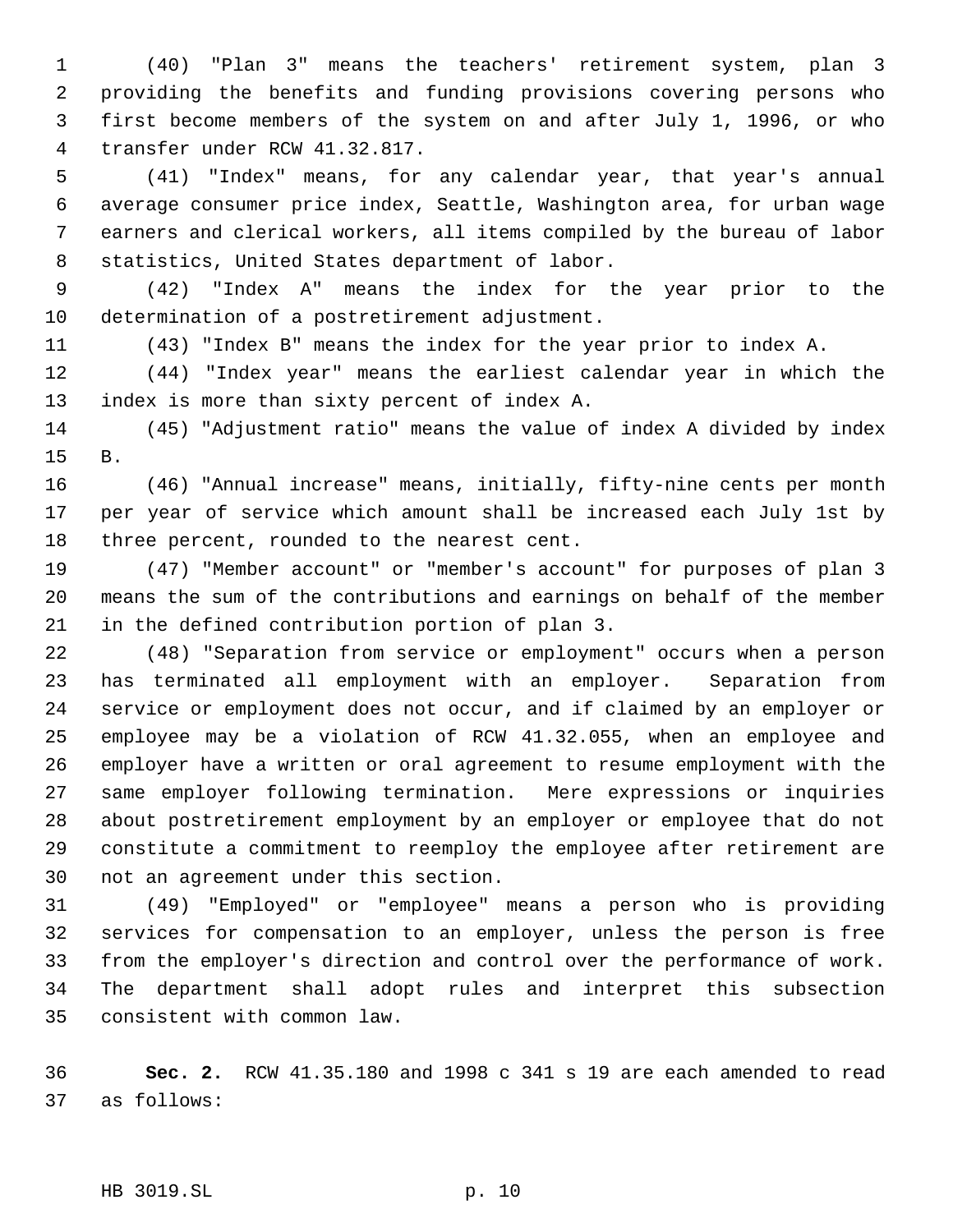(40) "Plan 3" means the teachers' retirement system, plan 3 providing the benefits and funding provisions covering persons who first become members of the system on and after July 1, 1996, or who transfer under RCW 41.32.817.

 (41) "Index" means, for any calendar year, that year's annual average consumer price index, Seattle, Washington area, for urban wage earners and clerical workers, all items compiled by the bureau of labor statistics, United States department of labor.

 (42) "Index A" means the index for the year prior to the determination of a postretirement adjustment.

(43) "Index B" means the index for the year prior to index A.

 (44) "Index year" means the earliest calendar year in which the index is more than sixty percent of index A.

 (45) "Adjustment ratio" means the value of index A divided by index B.

 (46) "Annual increase" means, initially, fifty-nine cents per month per year of service which amount shall be increased each July 1st by three percent, rounded to the nearest cent.

 (47) "Member account" or "member's account" for purposes of plan 3 means the sum of the contributions and earnings on behalf of the member in the defined contribution portion of plan 3.

 (48) "Separation from service or employment" occurs when a person has terminated all employment with an employer. Separation from service or employment does not occur, and if claimed by an employer or employee may be a violation of RCW 41.32.055, when an employee and employer have a written or oral agreement to resume employment with the same employer following termination. Mere expressions or inquiries about postretirement employment by an employer or employee that do not constitute a commitment to reemploy the employee after retirement are not an agreement under this section.

 (49) "Employed" or "employee" means a person who is providing services for compensation to an employer, unless the person is free from the employer's direction and control over the performance of work. The department shall adopt rules and interpret this subsection consistent with common law.

 **Sec. 2.** RCW 41.35.180 and 1998 c 341 s 19 are each amended to read as follows:

HB 3019.SL p. 10